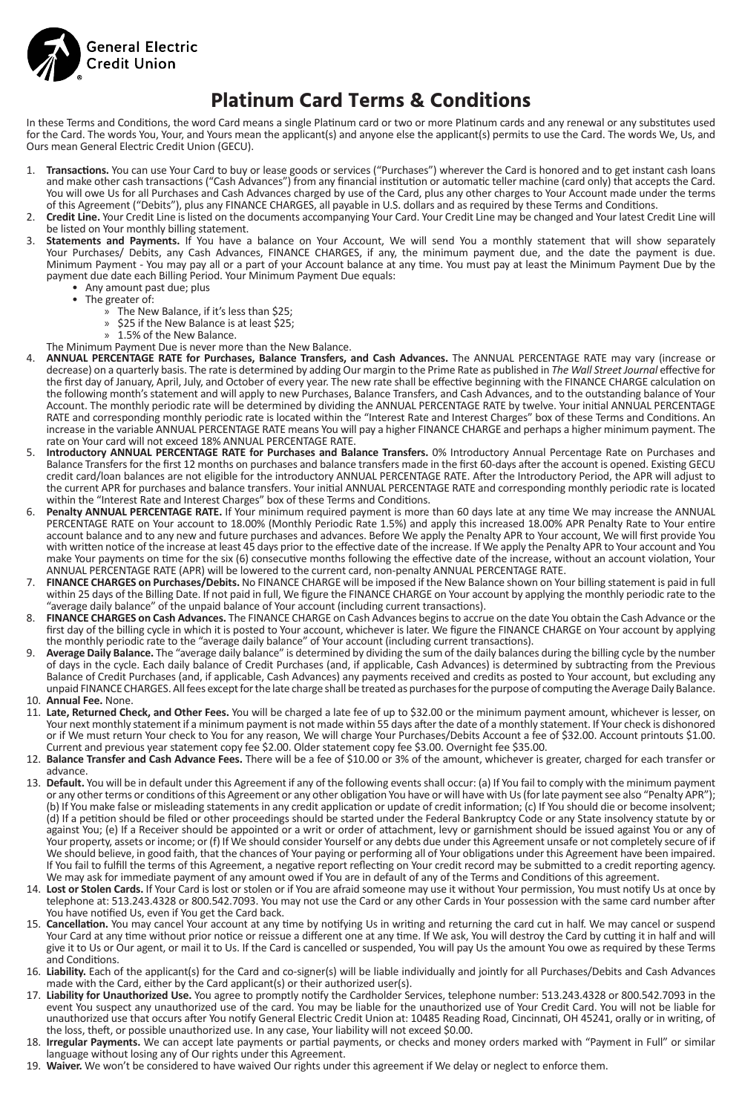

# **Platinum Card Terms & Conditions**

 In these Terms and Conditions, the word Card means a single Platinum card or two or more Platinum cards and any renewal or any substitutes used for the Card. The words You, Your, and Yours mean the applicant(s) and anyone else the applicant(s) permits to use the Card. The words We, Us, and Ours mean General Electric Credit Union (GECU).

- 1. **Transactions.** You can use Your Card to buy or lease goods or services ("Purchases") wherever the Card is honored and to get instant cash loans and make other cash transactions ("Cash Advances") from any financial institution or automatic teller machine (card only) that accepts the Card. You will owe Us for all Purchases and Cash Advances charged by use of the Card, plus any other charges to Your Account made under the terms of this Agreement ("Debits"), plus any FINANCE CHARGES, all payable in U.S. dollars and as required by these Terms and Conditions.
- 2. **Credit Line.** Your Credit Line islisted on the documents accompanying Your Card. Your Credit Line may be changed and Your latest Credit Line will be listed on Your monthly billing statement.
- 3. **Statements and Payments.** If You have a balance on Your Account, We will send You a monthly statement that will show separately Your Purchases/ Debits, any Cash Advances, FINANCE CHARGES, if any, the minimum payment due, and the date the payment is due. Minimum Payment - You may pay all or a part of your Account balance at any time. You must pay at least the Minimum Payment Due by the payment due date each Billing Period. Your Minimum Payment Due equals:
	- Any amount past due; plus
	- The greater of:
		- The New Balance, if it's less than \$25;
		- » \$25 if the New Balance is at least \$25;
		- 1.5% of the New Balance.
- The Minimum Payment Due is never more than the New Balance.
- 4. **ANNUAL PERCENTAGE RATE for Purchases, Balance Transfers, and Cash Advances.** The ANNUAL PERCENTAGE RATE may vary (increase or decrease) on a quarterly basis. The rate is determined by adding Our margin to the Prime Rate as published in *The Wall Street Journal* effective for the first day of January, April, July, and October of every year. The new rate shall be effective beginning with the FINANCE CHARGE calculation on the following month's statement and will apply to new Purchases, Balance Transfers, and Cash Advances, and to the outstanding balance of Your Account. The monthly periodic rate will be determined by dividing the ANNUAL PERCENTAGE RATE by twelve. Your initial ANNUAL PERCENTAGE RATE and corresponding monthly periodic rate is located within the "Interest Rate and Interest Charges" box of these Terms and Conditions. An increase in the variable ANNUAL PERCENTAGE RATE means You will pay a higher FINANCE CHARGE and perhaps a higher minimum payment. The rate on Your card will not exceed 18% ANNUAL PERCENTAGE RATE.
- 5. **Introductory ANNUAL PERCENTAGE RATE for Purchases and Balance Transfers.** 0% Introductory Annual Percentage Rate on Purchases and Balance Transfersfor the first 12 months on purchases and balance transfers made in the first 60-days after the account is opened. Existing GECU credit card/loan balances are not eligible for the introductory ANNUAL PERCENTAGE RATE. After the Introductory Period, the APR will adjust to the current APR for purchases and balance transfers. Your initial ANNUAL PERCENTAGE RATE and corresponding monthly periodic rate is located within the "Interest Rate and Interest Charges" box of these Terms and Conditions.
- Penalty ANNUAL PERCENTAGE RATE. If Your minimum required payment is more than 60 days late at any time We may increase the ANNUAL PERCENTAGE RATE on Your account to 18.00% (Monthly Periodic Rate 1.5%) and apply this increased 18.00% APR Penalty Rate to Your entire account balance and to any new and future purchases and advances. Before We apply the Penalty APR to Your account, We will first provide You with written notice of the increase at least 45 days prior to the effective date of the increase. If We apply the Penalty APR to Your account and You make Your payments on time for the six (6) consecutive months following the effective date of the increase, without an account violation, Your ANNUAL PERCENTAGE RATE (APR) will be lowered to the current card, non-penalty ANNUAL PERCENTAGE RATE.
- 7. **FINANCE CHARGES on Purchases/Debits.** No FINANCE CHARGE will be imposed if the New Balance shown on Your billing statement is paid in full within 25 days of the Billing Date. If not paid in full, We figure the FINANCE CHARGE on Your account by applying the monthly periodic rate to the "average daily balance" of the unpaid balance of Your account (including current transactions).
- 8. **FINANCE CHARGES on Cash Advances.** The FINANCE CHARGE on Cash Advances beginsto accrue on the date You obtain the Cash Advance or the first day of the billing cycle in which it is posted to Your account, whichever is later. We figure the FINANCE CHARGE on Your account by applying the monthly periodic rate to the "average daily balance" of Your account (including current transactions).
- 9. **Average Daily Balance.** The "average daily balance" is determined by dividing the sum of the daily balances during the billing cycle by the number of days in the cycle. Each daily balance of Credit Purchases (and, if applicable, Cash Advances) is determined by subtracting from the Previous Balance of Credit Purchases (and, if applicable, Cash Advances) any payments received and credits as posted to Your account, but excluding any unpaid FINANCE CHARGES. All fees except for the late charge shall be treated as purchases for the purpose of computing the Average Daily Balance. 10. **Annual Fee.** None.
- 11. **Late, Returned Check, and Other Fees.** You will be charged a late fee of up to \$32.00 or the minimum payment amount, whichever is lesser, on or if We must return Your check to You for any reason, We will charge Your Purchases/Debits Account a fee of \$32.00. Account printouts \$1.00. Current and previous year statement copy fee \$2.00. Older statement copy fee \$3.00. Overnight fee \$35.00.
- 12. **Balance Transfer and Cash Advance Fees.** There will be a fee of \$10.00 or 3% of the amount, whichever is greater, charged for each transfer or advance.
- 13. **Default.** You will be in default under this Agreement if any of the following eventsshall occur: (a) If You fail to comply with the minimum payment or any other terms or conditions of this Agreement or any other obligation You have or will have with Us (for late payment see also "Penalty APR"); (b) If You make false or misleading statementsin any credit application or update of credit information; (c) If You should die or become insolvent; (d) If a petition should be filed or other proceedings should be started under the Federal Bankruptcy Code or any State insolvency statute by or against You; (e) If a Receiver should be appointed or a writ or order of attachment, levy or garnishment should be issued against You or any of Your property, assets or income; or (f) If We should consider Yourself or any debts due under this Agreement unsafe or not completely secure of if We should believe, in good faith, that the chances of Your paying or performing all of Your obligations under this Agreement have been impaired. If You fail to fulfill the terms of this Agreement, a negative report reflecting on Your credit record may be submitted to a credit reporting agency. We may ask for immediate payment of any amount owed if You are in default of any of the Terms and Conditions of this agreement.
- 14. **Lost or Stolen Cards.** If Your Card is lost or stolen or if You are afraid someone may use it without Your permission, You must notify Us at once by telephone at: 513.243.4328 or 800.542.7093. You may not use the Card or any other Cards in Your possession with the same card number after You have notified Us, even if You get the Card back.
- 15. **Cancellation.** You may cancel Your account at any time by notifying Us in writing and returning the card cut in half. We may cancel or suspend Your Card at any time without prior notice or reissue a different one at any time. If We ask, You will destroy the Card by cutting it in half and will give it to Us or Our agent, or mail it to Us. If the Card is cancelled or suspended, You will pay Us the amount You owe as required by these Terms and Conditions.
- 16. **Liability.** Each of the applicant(s) for the Card and co-signer(s) will be liable individually and jointly for all Purchases/Debits and Cash Advances made with the Card, either by the Card applicant(s) or their authorized user(s).
- 17. **Liability for Unauthorized Use.** You agree to promptly notify the Cardholder Services, telephone number: 513.243.4328 or 800.542.7093 in the event You suspect any unauthorized use of the card. You may be liable for the unauthorized use of Your Credit Card. You will not be liable for unauthorized use that occurs after You notify General Electric Credit Union at: 10485 Reading Road, Cincinnati, OH 45241, orally or in writing, of the loss, theft, or possible unauthorized use. In any case, Your liability will not exceed \$0.00.
- 18. **Irregular Payments.** We can accept late payments or partial payments, or checks and money orders marked with "Payment in Full" or similar language without losing any of Our rights under this Agreement.
- 19. **Waiver.** We won't be considered to have waived Our rights under this agreement if We delay or neglect to enforce them.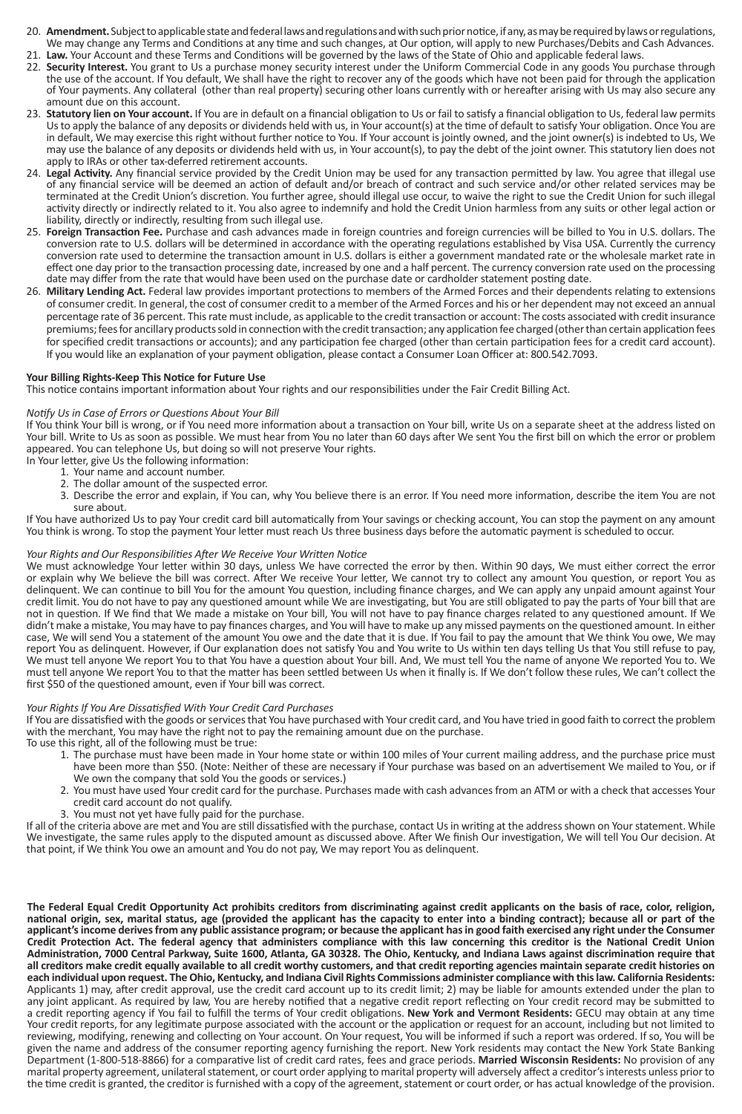- 20. Amendment. Subject to applicable state and federal laws and regulations and with such prior notice, if any, as may be required by laws or regulations, We may change any Terms and Conditions at any time and such changes, at Our option, will apply to new Purchases/Debits and Cash Advances. 21. **Law.** Your Account and these Terms and Conditions will be governed by the laws of the State of Ohio and applicable federal laws.
- 22. **Security Interest.** You grant to Us a purchase money security interest under the Uniform Commercial Code in any goods You purchase through the use of the account. If You default, We shall have the right to recover any of the goods which have not been paid for through the application of Your payments. Any collateral (other than real property) securing other loans currently with or hereafter arising with Us may also secure any amount due on this account.
- 23. **Statutory lien on Your account.** If You are in default on a financial obligation to Us or fail to satisfy a financial obligation to Us, federal law permits Us to apply the balance of any deposits or dividends held with us, in Your account(s) at the time of default to satisfy Your obligation. Once You are in default, We may exercise this right without further notice to You. If Your account is jointly owned, and the joint owner(s) is indebted to Us, We may use the balance of any deposits or dividends held with us, in Your account(s), to pay the debt of the joint owner. This statutory lien does not apply to IRAs or other tax-deferred retirement accounts.
- 24. **Legal Activity.** Any financial service provided by the Credit Union may be used for any transaction permitted by law. You agree that illegal use of any financial service will be deemed an action of default and/or breach of contract and such service and/or other related services may be terminated at the Credit Union's discretion. You further agree, should illegal use occur, to waive the right to sue the Credit Union for such illegal activity directly or indirectly related to it. You also agree to indemnify and hold the Credit Union harmless from any suits or other legal action or liability, directly or indirectly, resulting from such illegal use.
- 25. **Foreign Transaction Fee.** Purchase and cash advances made in foreign countries and foreign currencies will be billed to You in U.S. dollars. The conversion rate to U.S. dollars will be determined in accordance with the operating regulations established by Visa USA. Currently the currency conversion rate used to determine the transaction amount in U.S. dollars is either a government mandated rate or the wholesale market rate in effect one day prior to the transaction processing date, increased by one and a half percent. The currency conversion rate used on the processing date may differ from the rate that would have been used on the purchase date or cardholder statement posting date.
- 26. Military Lending Act. Federal law provides important protections to members of the Armed Forces and their dependents relating to extensions of consumer credit. In general, the cost of consumer credit to a member of the Armed Forces and his or her dependent may not exceed an annual percentage rate of 36 percent. Thisrate mustinclude, as applicable to the credittransaction or account: The costs associated with creditinsurance premiums; fees for ancillary products sold in connection with the credit transaction; any application fee charged (other than certain application fees for specified credit transactions or accounts); and any participation fee charged (other than certain participation fees for a credit card account). If you would like an explanation of your payment obligation, please contact a Consumer Loan Officer at: 800.542.7093.

## **Your Billing Rights-Keep This Notice for Future Use**

This notice contains important information about Your rights and our responsibilities under the Fair Credit Billing Act.

# *Notify Us in Case of Errors or Questions About Your Bill*

If You think Your bill is wrong, or if You need more information about a transaction on Your bill, write Us on a separate sheet at the address listed on Your bill. Write to Us as soon as possible. We must hear from You no later than 60 days after We sent You the first bill on which the error or problem appeared. You can telephone Us, but doing so will not preserve Your rights.

- In Your letter, give Us the following information: 1. Your name and account number.
	- 2. The dollar amount of the suspected error.
	- 3. Describe the error and explain, if You can, why You believe there is an error. If You need more information, describe the item You are not sure about.

If You have authorized Us to pay Your credit card bill automatically from Your savings or checking account, You can stop the payment on any amount You think is wrong. To stop the payment Your letter must reach Us three business days before the automatic payment is scheduled to occur.

## *Your Rights and Our Responsibilities After We Receive Your Written Notice*

We must acknowledge Your letter within 30 days, unless We have corrected the error by then. Within 90 days, We must either correct the error or explain why We believe the bill was correct. After We receive Your letter, We cannot try to collect any amount You question, or report You as delinquent. We can continue to bill You for the amount You question, including finance charges, and We can apply any unpaid amount against Your credit limit. You do not have to pay any questioned amount while We are investigating, but You are still obligated to pay the parts of Your bill that are not in question. If We find that We made a mistake on Your bill, You will not have to pay finance charges related to any questioned amount. If We didn't make a mistake, You may have to pay finances charges, and You will have to make up any missed payments on the questioned amount. In either case, We will send You a statement of the amount You owe and the date that it is due. If You fail to pay the amount that We think You owe, We may report You as delinquent. However, if Our explanation does not satisfy You and You write to Us within ten days telling Us that You still refuse to pay, We must tell anyone We report You to that You have a question about Your bill. And, We must tell You the name of anyone We reported You to. We must tell anyone We report You to that the matter has been settled between Us when it finally is. If We don't follow these rules, We can't collect the first \$50 of the questioned amount, even if Your bill was correct.

#### *Your Rights If You Are Dissatisfied With Your Credit Card Purchases*

If You are dissatisfied with the goods or services that You have purchased with Your credit card, and You have tried in good faith to correct the problem with the merchant, You may have the right not to pay the remaining amount due on the purchase.

To use this right, all of the following must be true:

- 1. The purchase must have been made in Your home state or within 100 miles of Your current mailing address, and the purchase price must have been more than \$50. (Note: Neither of these are necessary if Your purchase was based on an advertisement We mailed to You, or if We own the company that sold You the goods or services.)
- 2. You must have used Your credit card for the purchase. Purchases made with cash advancesfrom an ATM or with a check that accesses Your credit card account do not qualify.
- 3. You must not yet have fully paid for the purchase.

If all of the criteria above are met and You are still dissatisfied with the purchase, contact Us in writing at the address shown on Your statement. While We investigate, the same rules apply to the disputed amount as discussed above. After We finish Our investigation, We will tell You Our decision. At that point, if We think You owe an amount and You do not pay, We may report You as delinquent.

**The Federal Equal Credit Opportunity Act prohibits creditors from discriminating against credit applicants on the basis of race, color, religion, national origin, sex, marital status, age (provided the applicant has the capacity to enter into a binding contract); because all or part of the applicant's income derives from any public assistance program; or because the applicant has in good faith exercised any right under the Consumer Credit Protection Act. The federal agency that administers compliance with this law concerning this creditor is the National Credit Union Administration, 7000 Central Parkway, Suite 1600, Atlanta, GA 30328. The Ohio, Kentucky, and Indiana Laws against discrimination require that all creditors make credit equally available to all credit worthy customers, and that credit reporting agencies maintain separate credit histories on each individual upon request. The Ohio, Kentucky, and Indiana Civil Rights Commissions administer compliance with this law. California Residents:** Applicants 1) may, after credit approval, use the credit card account up to its credit limit; 2) may be liable for amounts extended under the plan to any joint applicant. As required by law, You are hereby notified that a negative credit report reflecting on Your credit record may be submitted to a credit reporting agency if You fail to fulfill the terms of Your credit obligations. **New York and Vermont Residents:** GECU may obtain at any time Your credit reports, for any legitimate purpose associated with the account or the application or request for an account, including but not limited to reviewing, modifying, renewing and collecting on Your account. On Your request, You will be informed if such a report was ordered. If so, You will be given the name and address of the consumer reporting agency furnishing the report. New York residents may contact the New York State Banking Department (1-800-518-8866) for a comparative list of credit card rates, fees and grace periods. **Married Wisconsin Residents:** No provision of any marital property agreement, unilateral statement, or court order applying to marital property will adversely affect a creditor's interests unless prior to the time credit is granted, the creditor is furnished with a copy of the agreement, statement or court order, or has actual knowledge of the provision.